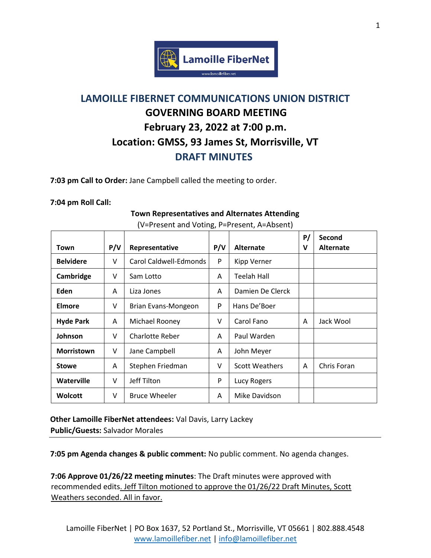

## **LAMOILLE FIBERNET COMMUNICATIONS UNION DISTRICT GOVERNING BOARD MEETING February 23, 2022 at 7:00 p.m. Location: GMSS, 93 James St, Morrisville, VT DRAFT MINUTES**

**7:03 pm Call to Order:** Jane Campbell called the meeting to order.

## **7:04 pm Roll Call:**

## Town | P/V | Representative | P/V | Alternate **P/ V Second Alternate Belvidere**  $\vert \vee \vert$  Carol Caldwell-Edmonds  $\vert \cdot \vert$  Kipp Verner **Cambridge** | V | Sam Lotto | A | Teelah Hall **Eden**  $\begin{array}{|c|c|c|c|c|} \hline A & \end{array}$  Liza Jones  $\begin{array}{|c|c|c|c|c|c|} \hline A & \end{array}$  Damien De Clerck **Elmore**  $\vert \vee \vert$  Brian Evans-Mongeon  $\vert \cdot \vert$  Hans De'Boer **Hyde Park** | A | Michael Rooney | V | Carol Fano | A | Jack Wool **Johnson** | V | Charlotte Reber | A | Paul Warden **Morristown** | V | Jane Campbell | A | John Meyer **Stowe** A Stephen Friedman V Scott Weathers A Chris Foran **Waterville**  $\vert \vee \vert$  Jeff Tilton **P** Lucy Rogers **Wolcott**  $\vert \vee \vert$  Bruce Wheeler  $\vert$  A  $\vert$  Mike Davidson

**Town Representatives and Alternates Attending** (V=Present and Voting, P=Present, A=Absent)

**Other Lamoille FiberNet attendees:** Val Davis, Larry Lackey **Public/Guests:** Salvador Morales

**7:05 pm Agenda changes & public comment:** No public comment. No agenda changes.

**7:06 Approve 01/26/22 meeting minutes**: The Draft minutes were approved with recommended edits. Jeff Tilton motioned to approve the 01/26/22 Draft Minutes, Scott Weathers seconded. All in favor.